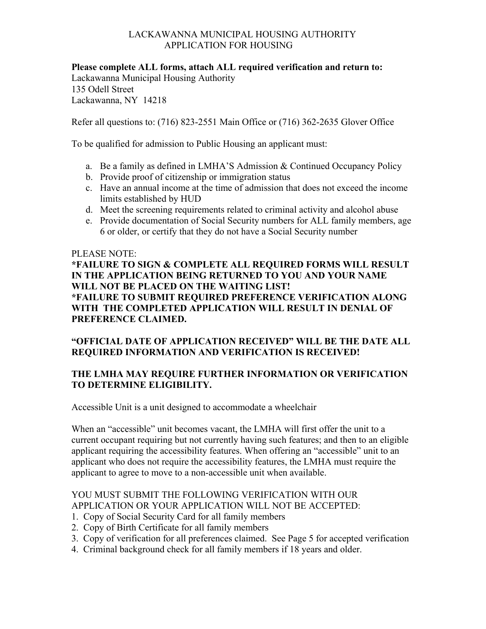## LACKAWANNA MUNICIPAL HOUSING AUTHORITY APPLICATION FOR HOUSING

**Please complete ALL forms, attach ALL required verification and return to:** Lackawanna Municipal Housing Authority 135 Odell Street Lackawanna, NY 14218

Refer all questions to: (716) 823-2551 Main Office or (716) 362-2635 Glover Office

To be qualified for admission to Public Housing an applicant must:

- a. Be a family as defined in LMHA'S Admission & Continued Occupancy Policy
- b. Provide proof of citizenship or immigration status
- c. Have an annual income at the time of admission that does not exceed the income limits established by HUD
- d. Meet the screening requirements related to criminal activity and alcohol abuse
- e. Provide documentation of Social Security numbers for ALL family members, age 6 or older, or certify that they do not have a Social Security number

#### PLEASE NOTE:

**\*FAILURE TO SIGN & COMPLETE ALL REQUIRED FORMS WILL RESULT IN THE APPLICATION BEING RETURNED TO YOU AND YOUR NAME WILL NOT BE PLACED ON THE WAITING LIST! \*FAILURE TO SUBMIT REQUIRED PREFERENCE VERIFICATION ALONG WITH THE COMPLETED APPLICATION WILL RESULT IN DENIAL OF PREFERENCE CLAIMED.**

# **"OFFICIAL DATE OF APPLICATION RECEIVED" WILL BE THE DATE ALL REQUIRED INFORMATION AND VERIFICATION IS RECEIVED!**

# **THE LMHA MAY REQUIRE FURTHER INFORMATION OR VERIFICATION TO DETERMINE ELIGIBILITY.**

Accessible Unit is a unit designed to accommodate a wheelchair

When an "accessible" unit becomes vacant, the LMHA will first offer the unit to a current occupant requiring but not currently having such features; and then to an eligible applicant requiring the accessibility features. When offering an "accessible" unit to an applicant who does not require the accessibility features, the LMHA must require the applicant to agree to move to a non-accessible unit when available.

# YOU MUST SUBMIT THE FOLLOWING VERIFICATION WITH OUR APPLICATION OR YOUR APPLICATION WILL NOT BE ACCEPTED:

- 1. Copy of Social Security Card for all family members
- 2. Copy of Birth Certificate for all family members
- 3. Copy of verification for all preferences claimed. See Page 5 for accepted verification
- 4. Criminal background check for all family members if 18 years and older.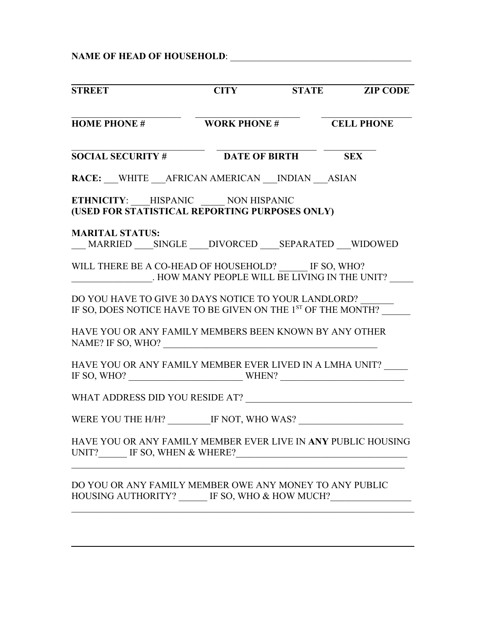**NAME OF HEAD OF HOUSEHOLD**: \_\_\_\_\_\_\_\_\_\_\_\_\_\_\_\_\_\_\_\_\_\_\_\_\_\_\_\_\_\_\_\_\_\_\_\_\_\_

| <b>STREET</b>                                                                                                                    |  | <b>CITY STATE ZIP CODE</b> |
|----------------------------------------------------------------------------------------------------------------------------------|--|----------------------------|
| <b>HOME PHONE # WORK PHONE # CELL PHONE</b>                                                                                      |  |                            |
| SOCIAL SECURITY # DATE OF BIRTH SEX                                                                                              |  |                            |
| RACE: WHITE AFRICAN AMERICAN INDIAN ASIAN                                                                                        |  |                            |
| ETHNICITY: HISPANIC NON HISPANIC<br>(USED FOR STATISTICAL REPORTING PURPOSES ONLY)                                               |  |                            |
| <b>MARITAL STATUS:</b><br>MARRIED SINGLE DIVORCED SEPARATED WIDOWED                                                              |  |                            |
| WILL THERE BE A CO-HEAD OF HOUSEHOLD? IF SO, WHO?<br>. HOW MANY PEOPLE WILL BE LIVING IN THE UNIT?                               |  |                            |
| DO YOU HAVE TO GIVE 30 DAYS NOTICE TO YOUR LANDLORD?<br>IF SO, DOES NOTICE HAVE TO BE GIVEN ON THE 1 <sup>ST</sup> OF THE MONTH? |  |                            |
| HAVE YOU OR ANY FAMILY MEMBERS BEEN KNOWN BY ANY OTHER                                                                           |  |                            |
| HAVE YOU OR ANY FAMILY MEMBER EVER LIVED IN A LMHA UNIT?<br>IF SO, WHO? $\_\_\_\_\_\_\_\_\_\_\_\_\_\_\_\_\_\_\_\_\_$             |  |                            |
|                                                                                                                                  |  |                            |
| WERE YOU THE H/H? IF NOT, WHO WAS?                                                                                               |  |                            |
| HAVE YOU OR ANY FAMILY MEMBER EVER LIVE IN ANY PUBLIC HOUSING<br>UNIT? IF SO, WHEN & WHERE?                                      |  |                            |
| DO YOU OR ANY FAMILY MEMBER OWE ANY MONEY TO ANY PUBLIC<br>HOUSING AUTHORITY? _____ IF SO, WHO & HOW MUCH?                       |  |                            |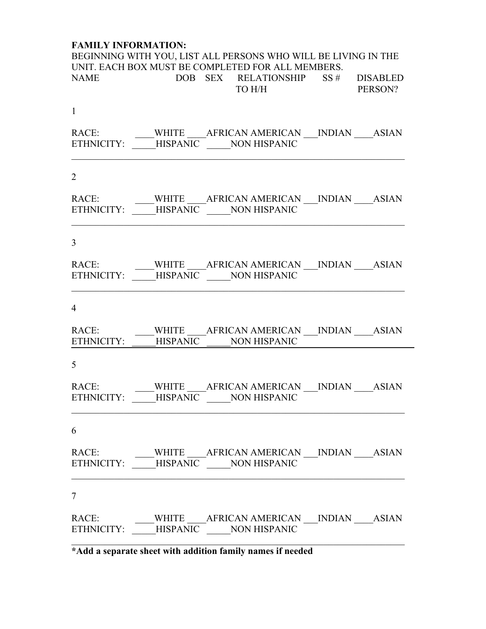# **FAMILY INFORMATION:**

| BEGINNING WITH YOU, LIST ALL PERSONS WHO WILL BE LIVING IN THE                                      |  |                |  |
|-----------------------------------------------------------------------------------------------------|--|----------------|--|
| UNIT. EACH BOX MUST BE COMPLETED FOR ALL MEMBERS.<br>NAME DOB SEX RELATIONSHIP SS # DISABLED        |  | TO H/H PERSON? |  |
| $\mathbf{1}$                                                                                        |  |                |  |
| RACE: WHITE AFRICAN AMERICAN ___ INDIAN ____ASIAN<br>ETHNICITY: _____HISPANIC ______NON HISPANIC    |  |                |  |
| $\overline{2}$                                                                                      |  |                |  |
| RACE: WHITE ______ AFRICAN AMERICAN ____ INDIAN _____ ASIAN<br>ETHNICITY: HISPANIC NON HISPANIC     |  |                |  |
| $\overline{3}$                                                                                      |  |                |  |
| ETHNICITY: _____HISPANIC _____NON HISPANIC                                                          |  |                |  |
| $\overline{4}$                                                                                      |  |                |  |
| RACE: WHITE AFRICAN AMERICAN ___ INDIAN _____ASIAN<br>ETHNICITY: ______HISPANIC _______NON HISPANIC |  |                |  |
| 5                                                                                                   |  |                |  |
| RACE: WHITE AFRICAN AMERICAN ___ INDIAN ____ASIAN<br>ETHNICITY: _____HISPANIC ______NON HISPANIC    |  |                |  |
| 6                                                                                                   |  |                |  |
| RACE: WHITE ____ AFRICAN AMERICAN ___ INDIAN ____ ASIAN                                             |  |                |  |
| 7                                                                                                   |  |                |  |
| RACE: WHITE ______ AFRICAN AMERICAN ____ INDIAN _____ ASIAN<br>ETHNICITY: HISPANIC NON HISPANIC     |  |                |  |

÷,

**\*Add a separate sheet with addition family names if needed**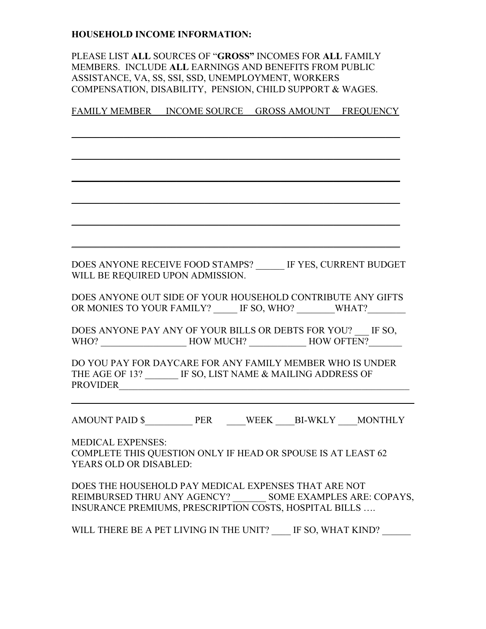## **HOUSEHOLD INCOME INFORMATION:**

PLEASE LIST **ALL** SOURCES OF "**GROSS"** INCOMES FOR **ALL** FAMILY MEMBERS. INCLUDE **ALL** EARNINGS AND BENEFITS FROM PUBLIC ASSISTANCE, VA, SS, SSI, SSD, UNEMPLOYMENT, WORKERS COMPENSATION, DISABILITY, PENSION, CHILD SUPPORT & WAGES.

FAMILY MEMBER INCOME SOURCE GROSS AMOUNT FREQUENCY

\_\_\_\_\_\_\_\_\_\_\_\_\_\_\_\_\_\_\_\_\_\_\_\_\_\_\_\_\_\_\_\_\_\_\_\_\_\_\_\_\_\_\_\_\_\_\_\_\_\_\_\_\_\_\_\_\_\_\_\_\_\_\_\_\_\_\_\_\_

 $\mathcal{L}_\text{max}$  and  $\mathcal{L}_\text{max}$  and  $\mathcal{L}_\text{max}$  and  $\mathcal{L}_\text{max}$  and  $\mathcal{L}_\text{max}$  and  $\mathcal{L}_\text{max}$ 

\_\_\_\_\_\_\_\_\_\_\_\_\_\_\_\_\_\_\_\_\_\_\_\_\_\_\_\_\_\_\_\_\_\_\_\_\_\_\_\_\_\_\_\_\_\_\_\_\_\_\_\_\_\_\_\_\_\_\_\_\_\_\_\_\_\_\_\_\_

\_\_\_\_\_\_\_\_\_\_\_\_\_\_\_\_\_\_\_\_\_\_\_\_\_\_\_\_\_\_\_\_\_\_\_\_\_\_\_\_\_\_\_\_\_\_\_\_\_\_\_\_\_\_\_\_\_\_\_\_\_\_\_\_\_\_\_\_\_

 $\mathcal{L}_\text{max}$  and  $\mathcal{L}_\text{max}$  and  $\mathcal{L}_\text{max}$  and  $\mathcal{L}_\text{max}$  and  $\mathcal{L}_\text{max}$  and  $\mathcal{L}_\text{max}$ 

\_\_\_\_\_\_\_\_\_\_\_\_\_\_\_\_\_\_\_\_\_\_\_\_\_\_\_\_\_\_\_\_\_\_\_\_\_\_\_\_\_\_\_\_\_\_\_\_\_\_\_\_\_\_\_\_\_\_\_\_\_\_\_\_\_\_\_\_\_

DOES ANYONE RECEIVE FOOD STAMPS? \_\_\_\_\_\_ IF YES, CURRENT BUDGET WILL BE REQUIRED UPON ADMISSION.

DOES ANYONE OUT SIDE OF YOUR HOUSEHOLD CONTRIBUTE ANY GIFTS OR MONIES TO YOUR FAMILY? IF SO, WHO? WHAT?

DOES ANYONE PAY ANY OF YOUR BILLS OR DEBTS FOR YOU? \_\_\_ IF SO, WHO? HOW MUCH? HOW OFTEN?

DO YOU PAY FOR DAYCARE FOR ANY FAMILY MEMBER WHO IS UNDER THE AGE OF 13? IF SO, LIST NAME & MAILING ADDRESS OF PROVIDER

AMOUNT PAID \$ PER WEEK BI-WKLY MONTHLY

MEDICAL EXPENSES: COMPLETE THIS QUESTION ONLY IF HEAD OR SPOUSE IS AT LEAST 62 YEARS OLD OR DISABLED:

DOES THE HOUSEHOLD PAY MEDICAL EXPENSES THAT ARE NOT REIMBURSED THRU ANY AGENCY? \_\_\_\_\_\_\_ SOME EXAMPLES ARE: COPAYS, INSURANCE PREMIUMS, PRESCRIPTION COSTS, HOSPITAL BILLS ….

WILL THERE BE A PET LIVING IN THE UNIT? IF SO, WHAT KIND?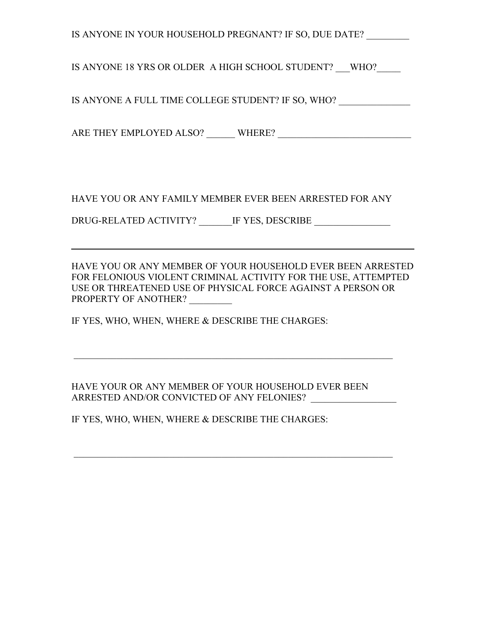| IS ANYONE IN YOUR HOUSEHOLD PREGNANT? IF SO, DUE DATE?                                                                          |
|---------------------------------------------------------------------------------------------------------------------------------|
| IS ANYONE 18 YRS OR OLDER A HIGH SCHOOL STUDENT? WHO?                                                                           |
| IS ANYONE A FULL TIME COLLEGE STUDENT? IF SO, WHO? $\_\_$                                                                       |
| $\textbf{ARE THEN EMPLOYED ALSO?}\hspace{0.09cm}\textbf{WHERE?}\hspace{0.09cm}\textbf{\underline{}}$                            |
|                                                                                                                                 |
| HAVE YOU OR ANY FAMILY MEMBER EVER BEEN ARRESTED FOR ANY                                                                        |
|                                                                                                                                 |
| <u> 1989 - Jan Samuel Barbara, margaret eta idazlea (h. 1989).</u>                                                              |
| HAVE YOU OR ANY MEMBER OF YOUR HOUSEHOLD EVER BEEN ARRESTED<br>EOD EELOMIOUS VIOLENT CDIMINAL A CTIVITY EOD THE HSE A TTEMPTED. |

FOR FELONIOUS VIOLENT CRIMINAL ACTIVITY FOR THE USE, ATTEMPTED USE OR THREATENED USE OF PHYSICAL FORCE AGAINST A PERSON OR PROPERTY OF ANOTHER? \_\_\_\_\_\_\_\_\_

IF YES, WHO, WHEN, WHERE & DESCRIBE THE CHARGES:

HAVE YOUR OR ANY MEMBER OF YOUR HOUSEHOLD EVER BEEN ARRESTED AND/OR CONVICTED OF ANY FELONIES?

IF YES, WHO, WHEN, WHERE & DESCRIBE THE CHARGES: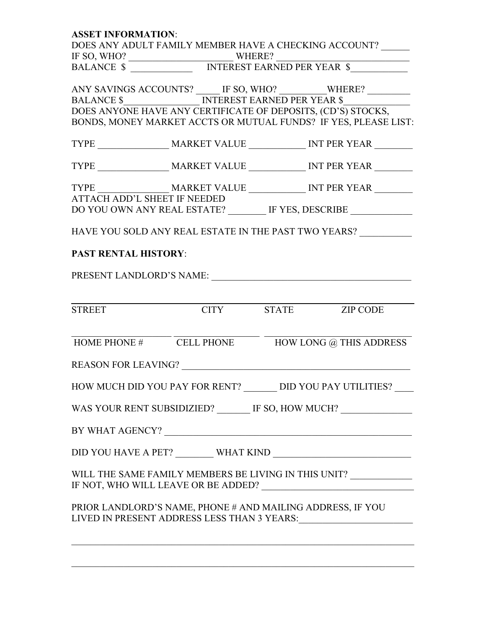| <b>ASSET INFORMATION:</b>    |                                                              |  |                                                                                                           |  |
|------------------------------|--------------------------------------------------------------|--|-----------------------------------------------------------------------------------------------------------|--|
|                              | DOES ANY ADULT FAMILY MEMBER HAVE A CHECKING ACCOUNT?        |  |                                                                                                           |  |
|                              |                                                              |  |                                                                                                           |  |
|                              |                                                              |  |                                                                                                           |  |
|                              |                                                              |  |                                                                                                           |  |
|                              |                                                              |  |                                                                                                           |  |
|                              |                                                              |  |                                                                                                           |  |
|                              | DOES ANYONE HAVE ANY CERTIFICATE OF DEPOSITS, (CD'S) STOCKS, |  | BONDS, MONEY MARKET ACCTS OR MUTUAL FUNDS? IF YES, PLEASE LIST:                                           |  |
|                              |                                                              |  |                                                                                                           |  |
|                              |                                                              |  |                                                                                                           |  |
|                              |                                                              |  |                                                                                                           |  |
| ATTACH ADD'L SHEET IF NEEDED |                                                              |  |                                                                                                           |  |
|                              |                                                              |  | DO YOU OWN ANY REAL ESTATE? ________ IF YES, DESCRIBE ___________                                         |  |
|                              |                                                              |  | HAVE YOU SOLD ANY REAL ESTATE IN THE PAST TWO YEARS?                                                      |  |
| <b>PAST RENTAL HISTORY:</b>  |                                                              |  |                                                                                                           |  |
|                              |                                                              |  |                                                                                                           |  |
|                              |                                                              |  |                                                                                                           |  |
|                              |                                                              |  |                                                                                                           |  |
| <b>STREET</b>                | <b>CITY</b> STATE ZIP CODE                                   |  |                                                                                                           |  |
|                              |                                                              |  | $HOME PHONE #$ CELL PHONE HOW LONG @ THIS ADDRESS                                                         |  |
|                              |                                                              |  |                                                                                                           |  |
|                              |                                                              |  | HOW MUCH DID YOU PAY FOR RENT? _______ DID YOU PAY UTILITIES? ____                                        |  |
|                              |                                                              |  | WAS YOUR RENT SUBSIDIZIED? _______ IF SO, HOW MUCH? _____________                                         |  |
|                              | BY WHAT AGENCY? $\_\_$                                       |  |                                                                                                           |  |
|                              |                                                              |  | $\text{DID YOU HAVE A PET?}\underline{\hspace{1.5cm}\text{WHAT KIND}}\underline{\hspace{1.5cm}\text{mm}}$ |  |
|                              |                                                              |  | WILL THE SAME FAMILY MEMBERS BE LIVING IN THIS UNIT? $\_\_$                                               |  |
|                              | PRIOR LANDLORD'S NAME, PHONE # AND MAILING ADDRESS, IF YOU   |  |                                                                                                           |  |
|                              |                                                              |  |                                                                                                           |  |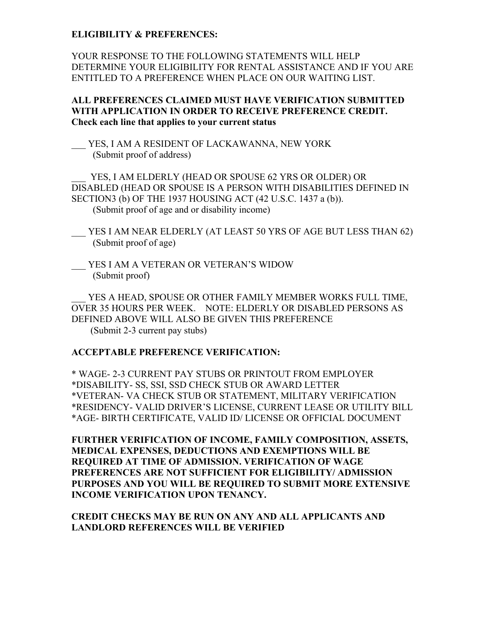### **ELIGIBILITY & PREFERENCES:**

YOUR RESPONSE TO THE FOLLOWING STATEMENTS WILL HELP DETERMINE YOUR ELIGIBILITY FOR RENTAL ASSISTANCE AND IF YOU ARE ENTITLED TO A PREFERENCE WHEN PLACE ON OUR WAITING LIST.

## **ALL PREFERENCES CLAIMED MUST HAVE VERIFICATION SUBMITTED WITH APPLICATION IN ORDER TO RECEIVE PREFERENCE CREDIT. Check each line that applies to your current status**

YES, I AM A RESIDENT OF LACKAWANNA, NEW YORK (Submit proof of address)

YES, I AM ELDERLY (HEAD OR SPOUSE 62 YRS OR OLDER) OR DISABLED (HEAD OR SPOUSE IS A PERSON WITH DISABILITIES DEFINED IN SECTION3 (b) OF THE 1937 HOUSING ACT (42 U.S.C. 1437 a (b)). (Submit proof of age and or disability income)

YES I AM NEAR ELDERLY (AT LEAST 50 YRS OF AGE BUT LESS THAN 62) (Submit proof of age)

YES I AM A VETERAN OR VETERAN'S WIDOW (Submit proof)

YES A HEAD, SPOUSE OR OTHER FAMILY MEMBER WORKS FULL TIME, OVER 35 HOURS PER WEEK. NOTE: ELDERLY OR DISABLED PERSONS AS DEFINED ABOVE WILL ALSO BE GIVEN THIS PREFERENCE (Submit 2-3 current pay stubs)

#### **ACCEPTABLE PREFERENCE VERIFICATION:**

\* WAGE- 2-3 CURRENT PAY STUBS OR PRINTOUT FROM EMPLOYER \*DISABILITY- SS, SSI, SSD CHECK STUB OR AWARD LETTER \*VETERAN- VA CHECK STUB OR STATEMENT, MILITARY VERIFICATION \*RESIDENCY- VALID DRIVER'S LICENSE, CURRENT LEASE OR UTILITY BILL \*AGE- BIRTH CERTIFICATE, VALID ID/ LICENSE OR OFFICIAL DOCUMENT

**FURTHER VERIFICATION OF INCOME, FAMILY COMPOSITION, ASSETS, MEDICAL EXPENSES, DEDUCTIONS AND EXEMPTIONS WILL BE REQUIRED AT TIME OF ADMISSION. VERIFICATION OF WAGE PREFERENCES ARE NOT SUFFICIENT FOR ELIGIBILITY/ ADMISSION PURPOSES AND YOU WILL BE REQUIRED TO SUBMIT MORE EXTENSIVE INCOME VERIFICATION UPON TENANCY.** 

## **CREDIT CHECKS MAY BE RUN ON ANY AND ALL APPLICANTS AND LANDLORD REFERENCES WILL BE VERIFIED**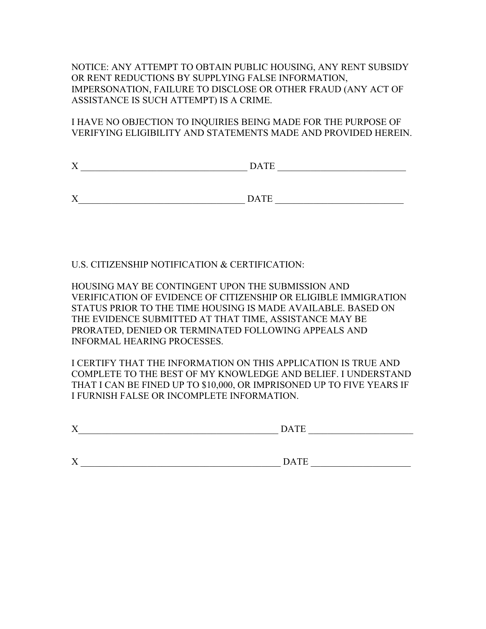NOTICE: ANY ATTEMPT TO OBTAIN PUBLIC HOUSING, ANY RENT SUBSIDY OR RENT REDUCTIONS BY SUPPLYING FALSE INFORMATION, IMPERSONATION, FAILURE TO DISCLOSE OR OTHER FRAUD (ANY ACT OF ASSISTANCE IS SUCH ATTEMPT) IS A CRIME.

I HAVE NO OBJECTION TO INQUIRIES BEING MADE FOR THE PURPOSE OF VERIFYING ELIGIBILITY AND STATEMENTS MADE AND PROVIDED HEREIN.

| $\mathbf{v}$<br>$\Lambda$ | <b>DATE</b> |  |
|---------------------------|-------------|--|
|                           |             |  |

X\_\_\_\_\_\_\_\_\_\_\_\_\_\_\_\_\_\_\_\_\_\_\_\_\_\_\_\_\_\_\_\_\_\_\_ DATE \_\_\_\_\_\_\_\_\_\_\_\_\_\_\_\_\_\_\_\_\_\_\_\_\_\_\_

U.S. CITIZENSHIP NOTIFICATION & CERTIFICATION:

HOUSING MAY BE CONTINGENT UPON THE SUBMISSION AND VERIFICATION OF EVIDENCE OF CITIZENSHIP OR ELIGIBLE IMMIGRATION STATUS PRIOR TO THE TIME HOUSING IS MADE AVAILABLE. BASED ON THE EVIDENCE SUBMITTED AT THAT TIME, ASSISTANCE MAY BE PRORATED, DENIED OR TERMINATED FOLLOWING APPEALS AND INFORMAL HEARING PROCESSES.

I CERTIFY THAT THE INFORMATION ON THIS APPLICATION IS TRUE AND COMPLETE TO THE BEST OF MY KNOWLEDGE AND BELIEF. I UNDERSTAND THAT I CAN BE FINED UP TO \$10,000, OR IMPRISONED UP TO FIVE YEARS IF I FURNISH FALSE OR INCOMPLETE INFORMATION.

| $\mathbf{v}$ | $-$        |
|--------------|------------|
| $\Lambda$    | $\sqrt{ }$ |
|              |            |

X \_\_\_\_\_\_\_\_\_\_\_\_\_\_\_\_\_\_\_\_\_\_\_\_\_\_\_\_\_\_\_\_\_\_\_\_\_\_\_\_\_\_ DATE \_\_\_\_\_\_\_\_\_\_\_\_\_\_\_\_\_\_\_\_\_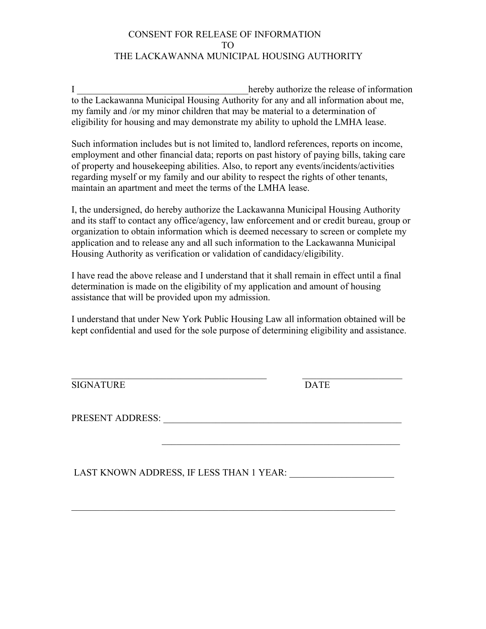# CONSENT FOR RELEASE OF INFORMATION TO THE LACKAWANNA MUNICIPAL HOUSING AUTHORITY

I **I I EXECUTE: EXECUTE: EXECUTE: EXECUTE: EXECUTE: EXECUTE: EXECUTE: EXECUTE: EXECUTE: EXECUTE: EXECUTE: EXECUTE: EXECUTE: EXECUTE: EXECUTE: EXECUTE: EXECUTE: EXECUTE: EXECUTE: EX** to the Lackawanna Municipal Housing Authority for any and all information about me, my family and /or my minor children that may be material to a determination of eligibility for housing and may demonstrate my ability to uphold the LMHA lease.

Such information includes but is not limited to, landlord references, reports on income, employment and other financial data; reports on past history of paying bills, taking care of property and housekeeping abilities. Also, to report any events/incidents/activities regarding myself or my family and our ability to respect the rights of other tenants, maintain an apartment and meet the terms of the LMHA lease.

I, the undersigned, do hereby authorize the Lackawanna Municipal Housing Authority and its staff to contact any office/agency, law enforcement and or credit bureau, group or organization to obtain information which is deemed necessary to screen or complete my application and to release any and all such information to the Lackawanna Municipal Housing Authority as verification or validation of candidacy/eligibility.

I have read the above release and I understand that it shall remain in effect until a final determination is made on the eligibility of my application and amount of housing assistance that will be provided upon my admission.

I understand that under New York Public Housing Law all information obtained will be kept confidential and used for the sole purpose of determining eligibility and assistance.

SIGNATURE DATE

PRESENT ADDRESS: \_\_\_\_\_\_\_\_\_\_\_\_\_\_\_\_\_\_\_\_\_\_\_\_\_\_\_\_\_\_\_\_\_\_\_\_\_\_\_\_\_\_\_\_\_\_\_\_\_\_

LAST KNOWN ADDRESS, IF LESS THAN 1 YEAR: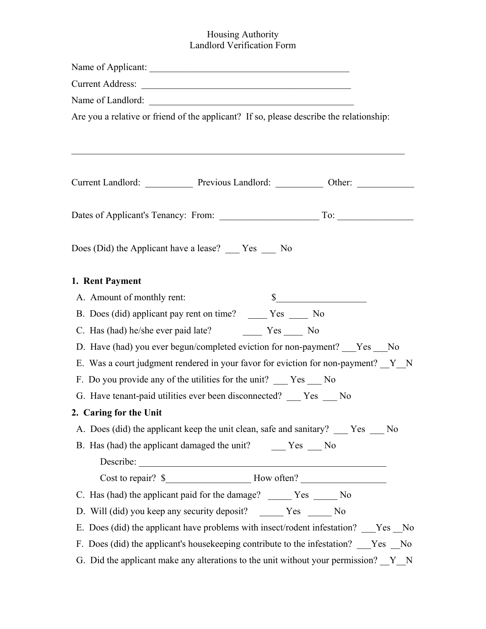## Housing Authority Landlord Verification Form

| Are you a relative or friend of the applicant? If so, please describe the relationship: |
|-----------------------------------------------------------------------------------------|
|                                                                                         |
| Current Landlord: Previous Landlord: Other: Other:                                      |
|                                                                                         |
| Does (Did) the Applicant have a lease? ___ Yes __ No                                    |
| 1. Rent Payment                                                                         |
| $\frac{1}{2}$<br>A. Amount of monthly rent:                                             |
| B. Does (did) applicant pay rent on time? ______ Yes _____ No                           |
|                                                                                         |
| D. Have (had) you ever begun/completed eviction for non-payment? ___Yes ___No           |
| E. Was a court judgment rendered in your favor for eviction for non-payment? Y N        |
| F. Do you provide any of the utilities for the unit? ___ Yes ___ No                     |
| G. Have tenant-paid utilities ever been disconnected? ___ Yes __ No                     |
| 2. Caring for the Unit                                                                  |
| A. Does (did) the applicant keep the unit clean, safe and sanitary? ___ Yes __ No       |
|                                                                                         |
|                                                                                         |
|                                                                                         |
| C. Has (had) the applicant paid for the damage? ______ Yes _____ No                     |
| D. Will (did) you keep any security deposit? ______ Yes _____ No                        |
| E. Does (did) the applicant have problems with insect/rodent infestation? ___Yes __No   |
| F. Does (did) the applicant's housekeeping contribute to the infestation? Yes No        |
| G. Did the applicant make any alterations to the unit without your permission? $Y_N$    |